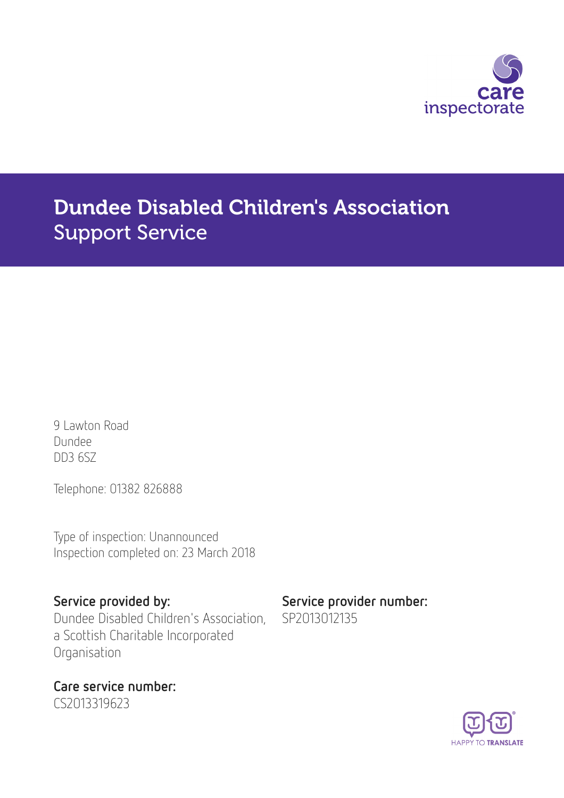

# Dundee Disabled Children's Association Support Service

9 Lawton Road Dundee DD3 6SZ

Telephone: 01382 826888

Type of inspection: Unannounced Inspection completed on: 23 March 2018

Dundee Disabled Children's Association, a Scottish Charitable Incorporated Organisation

#### Care service number: CS2013319623

Service provided by: Service provider number: SP2013012135

HAPPY TO TRANSLATE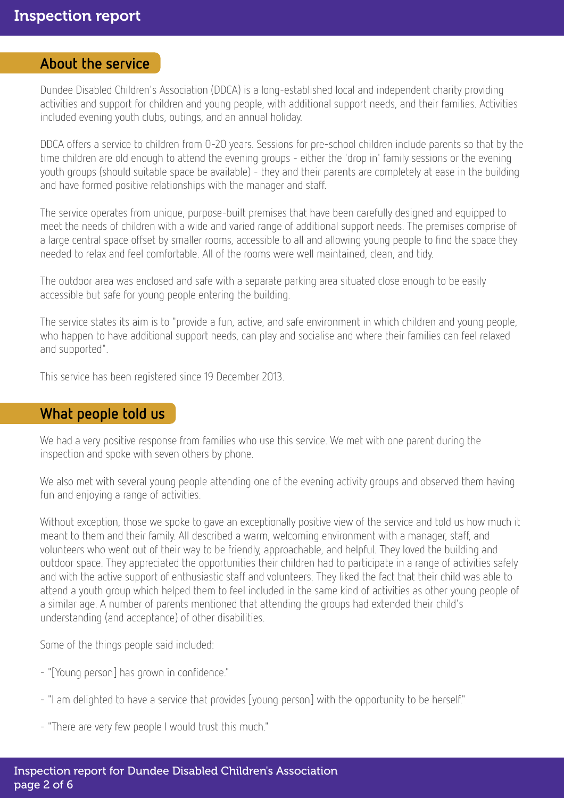#### About the service

Dundee Disabled Children's Association (DDCA) is a long-established local and independent charity providing activities and support for children and young people, with additional support needs, and their families. Activities included evening youth clubs, outings, and an annual holiday.

DDCA offers a service to children from 0-20 years. Sessions for pre-school children include parents so that by the time children are old enough to attend the evening groups - either the 'drop in' family sessions or the evening youth groups (should suitable space be available) - they and their parents are completely at ease in the building and have formed positive relationships with the manager and staff.

The service operates from unique, purpose-built premises that have been carefully designed and equipped to meet the needs of children with a wide and varied range of additional support needs. The premises comprise of a large central space offset by smaller rooms, accessible to all and allowing young people to find the space they needed to relax and feel comfortable. All of the rooms were well maintained, clean, and tidy.

The outdoor area was enclosed and safe with a separate parking area situated close enough to be easily accessible but safe for young people entering the building.

The service states its aim is to "provide a fun, active, and safe environment in which children and young people, who happen to have additional support needs, can play and socialise and where their families can feel relaxed and supported".

This service has been registered since 19 December 2013.

#### What people told us

We had a very positive response from families who use this service. We met with one parent during the inspection and spoke with seven others by phone.

We also met with several young people attending one of the evening activity groups and observed them having fun and enjoying a range of activities.

Without exception, those we spoke to gave an exceptionally positive view of the service and told us how much it meant to them and their family. All described a warm, welcoming environment with a manager, staff, and volunteers who went out of their way to be friendly, approachable, and helpful. They loved the building and outdoor space. They appreciated the opportunities their children had to participate in a range of activities safely and with the active support of enthusiastic staff and volunteers. They liked the fact that their child was able to attend a youth group which helped them to feel included in the same kind of activities as other young people of a similar age. A number of parents mentioned that attending the groups had extended their child's understanding (and acceptance) of other disabilities.

Some of the things people said included:

- "[Young person] has grown in confidence."
- "I am delighted to have a service that provides [young person] with the opportunity to be herself."
- "There are very few people I would trust this much."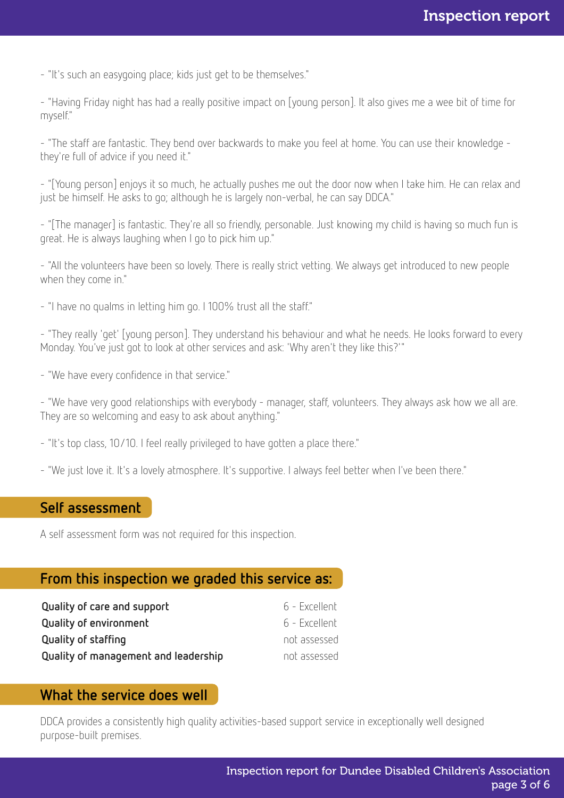- "It's such an easygoing place; kids just get to be themselves."

- "Having Friday night has had a really positive impact on [young person]. It also gives me a wee bit of time for myself."

- "The staff are fantastic. They bend over backwards to make you feel at home. You can use their knowledge they're full of advice if you need it."

- "[Young person] enjoys it so much, he actually pushes me out the door now when I take him. He can relax and just be himself. He asks to go; although he is largely non-verbal, he can say DDCA."

- "[The manager] is fantastic. They're all so friendly, personable. Just knowing my child is having so much fun is great. He is always laughing when I go to pick him up."

- "All the volunteers have been so lovely. There is really strict vetting. We always get introduced to new people when they come in."

- "I have no qualms in letting him go. I 100% trust all the staff."

- "They really 'get' [young person]. They understand his behaviour and what he needs. He looks forward to every Monday. You've just got to look at other services and ask: 'Why aren't they like this?'"

- "We have every confidence in that service."

- "We have very good relationships with everybody - manager, staff, volunteers. They always ask how we all are. They are so welcoming and easy to ask about anything."

- "It's top class, 10/10. I feel really privileged to have gotten a place there."

- "We just love it. It's a lovely atmosphere. It's supportive. I always feel better when I've been there."

#### Self assessment

A self assessment form was not required for this inspection.

## From this inspection we graded this service as:

| Quality of care and support          | 6 - Excellent |
|--------------------------------------|---------------|
| <b>Quality of environment</b>        | 6 - Excellent |
| Quality of staffing                  | not assessed  |
| Quality of management and leadership | not assessed  |

#### What the service does well

DDCA provides a consistently high quality activities-based support service in exceptionally well designed purpose-built premises.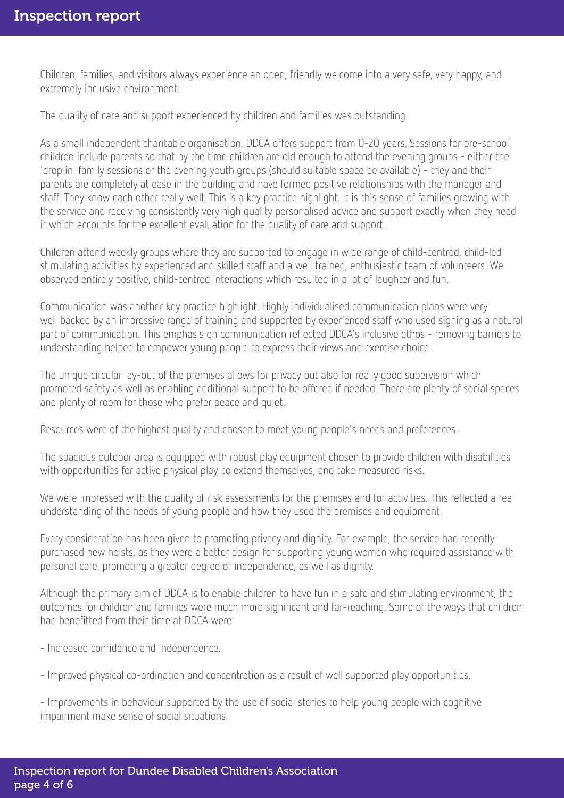Children, families, and visitors always experience an open, friendly welcome into a very safe, very happy, and extremely inclusive environment.

The quality of care and support experienced by children and families was outstanding.

As a small independent charitable organisation, DDCA offers support from 0-20 years. Sessions for pre-school children include parents so that by the time children are old enough to attend the evening groups - either the 'drop in' family sessions or the evening youth groups (should suitable space be available) - they and their parents are completely at ease in the building and have formed positive relationships with the manager and staff. They know each other really well. This is a key practice highlight. It is this sense of families growing with the service and receiving consistently very high quality personalised advice and support exactly when they need it which accounts for the excellent evaluation for the quality of care and support.

Children attend weekly groups where they are supported to engage in wide range of child-centred, child-led stimulating activities by experienced and skilled staff and a well trained, enthusiastic team of volunteers. We observed entirely positive, child-centred interactions which resulted in a lot of laughter and fun.

Communication was another key practice highlight. Highly individualised communication plans were very well backed by an impressive range of training and supported by experienced staff who used signing as a natural part of communication. This emphasis on communication reflected DDCA's inclusive ethos - removing barriers to understanding helped to empower young people to express their views and exercise choice.

The unique circular lay-out of the premises allows for privacy but also for really good supervision which promoted safety as well as enabling additional support to be offered if needed. There are plenty of social spaces and plenty of room for those who prefer peace and quiet.

Resources were of the highest quality and chosen to meet young people's needs and preferences.

The spacious outdoor area is equipped with robust play equipment chosen to provide children with disabilities with opportunities for active physical play, to extend themselves, and take measured risks.

We were impressed with the quality of risk assessments for the premises and for activities. This reflected a real understanding of the needs of young people and how they used the premises and equipment.

Every consideration has been given to promoting privacy and dignity. For example, the service had recently purchased new hoists, as they were a better design for supporting young women who required assistance with personal care, promoting a greater degree of independence, as well as dignity.

Although the primary aim of DDCA is to enable children to have fun in a safe and stimulating environment, the outcomes for children and families were much more significant and far-reaching. Some of the ways that children had benefitted from their time at DDCA were:

- Increased confidence and independence.

- Improved physical co-ordination and concentration as a result of well supported play opportunities.

- Improvements in behaviour supported by the use of social stories to help young people with cognitive impairment make sense of social situations.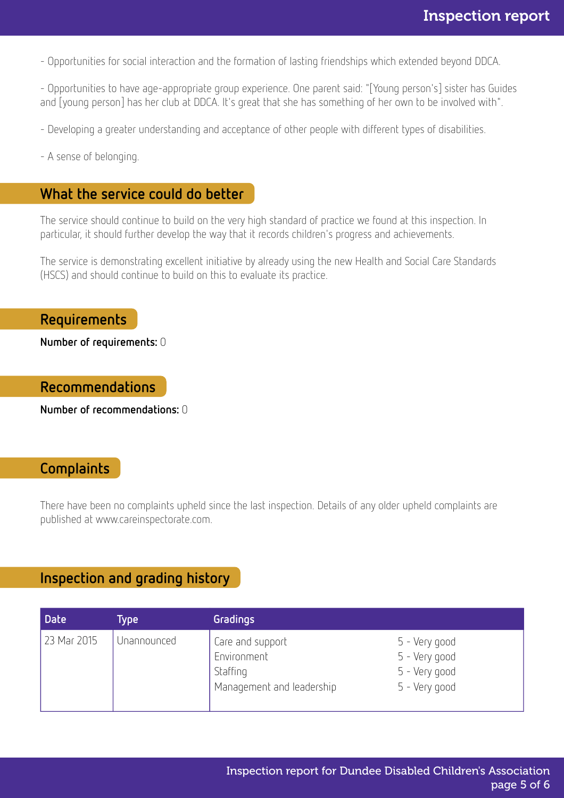- Opportunities for social interaction and the formation of lasting friendships which extended beyond DDCA.

- Opportunities to have age-appropriate group experience. One parent said: "[Young person's] sister has Guides and [young person] has her club at DDCA. It's great that she has something of her own to be involved with".

- Developing a greater understanding and acceptance of other people with different types of disabilities.

- A sense of belonging.

#### What the service could do better

The service should continue to build on the very high standard of practice we found at this inspection. In particular, it should further develop the way that it records children's progress and achievements.

The service is demonstrating excellent initiative by already using the new Health and Social Care Standards (HSCS) and should continue to build on this to evaluate its practice.

Requirements

Number of requirements: 0

Recommendations

Number of recommendations: 0

#### **Complaints**

There have been no complaints upheld since the last inspection. Details of any older upheld complaints are published at www.careinspectorate.com.

### Inspection and grading history

| <b>Date</b> | Type        | Gradings                                                                 |                                                                  |
|-------------|-------------|--------------------------------------------------------------------------|------------------------------------------------------------------|
| 23 Mar 2015 | Unannounced | Care and support<br>Environment<br>Staffing<br>Management and leadership | 5 - Very good<br>5 - Very good<br>5 - Very good<br>5 - Very good |